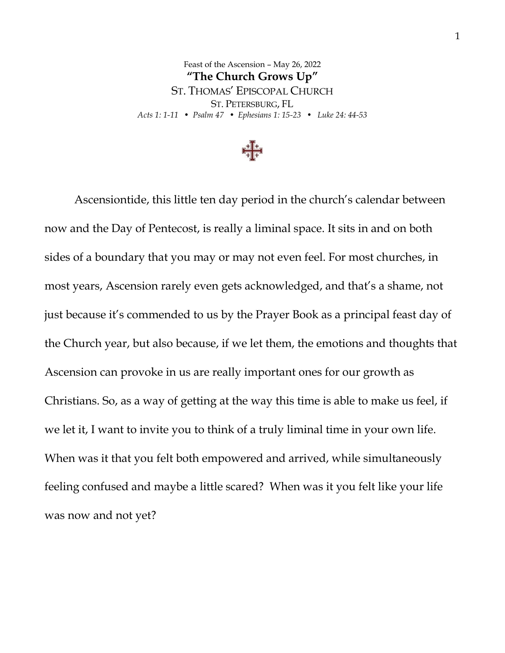Feast of the Ascension – May 26, 2022 **"The Church Grows Up"** ST. THOMAS' EPISCOPAL CHURCH ST. PETERSBURG, FL *Acts 1: 1-11 • Psalm 47 • Ephesians 1: 15-23 • Luke 24: 44-53*



Ascensiontide, this little ten day period in the church's calendar between now and the Day of Pentecost, is really a liminal space. It sits in and on both sides of a boundary that you may or may not even feel. For most churches, in most years, Ascension rarely even gets acknowledged, and that's a shame, not just because it's commended to us by the Prayer Book as a principal feast day of the Church year, but also because, if we let them, the emotions and thoughts that Ascension can provoke in us are really important ones for our growth as Christians. So, as a way of getting at the way this time is able to make us feel, if we let it, I want to invite you to think of a truly liminal time in your own life. When was it that you felt both empowered and arrived, while simultaneously feeling confused and maybe a little scared? When was it you felt like your life was now and not yet?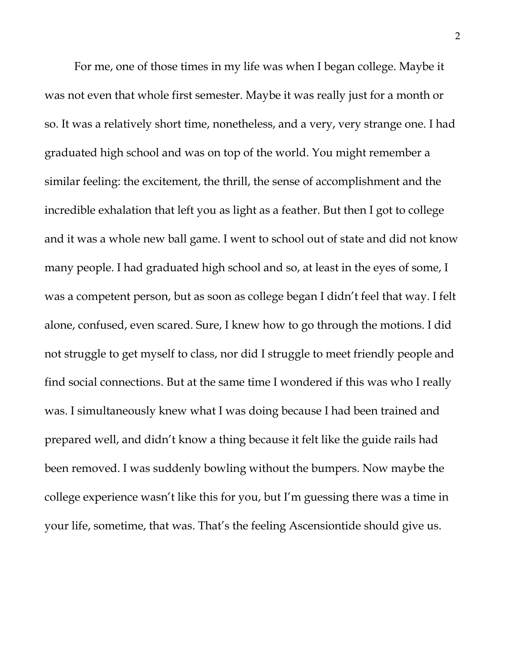For me, one of those times in my life was when I began college. Maybe it was not even that whole first semester. Maybe it was really just for a month or so. It was a relatively short time, nonetheless, and a very, very strange one. I had graduated high school and was on top of the world. You might remember a similar feeling: the excitement, the thrill, the sense of accomplishment and the incredible exhalation that left you as light as a feather. But then I got to college and it was a whole new ball game. I went to school out of state and did not know many people. I had graduated high school and so, at least in the eyes of some, I was a competent person, but as soon as college began I didn't feel that way. I felt alone, confused, even scared. Sure, I knew how to go through the motions. I did not struggle to get myself to class, nor did I struggle to meet friendly people and find social connections. But at the same time I wondered if this was who I really was. I simultaneously knew what I was doing because I had been trained and prepared well, and didn't know a thing because it felt like the guide rails had been removed. I was suddenly bowling without the bumpers. Now maybe the college experience wasn't like this for you, but I'm guessing there was a time in your life, sometime, that was. That's the feeling Ascensiontide should give us.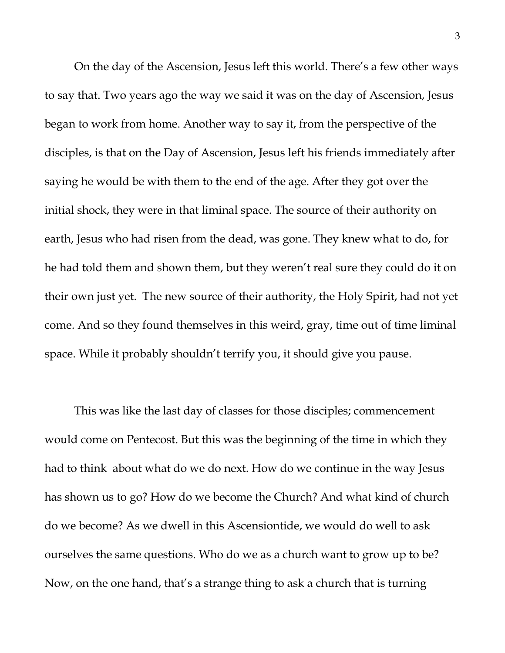On the day of the Ascension, Jesus left this world. There's a few other ways to say that. Two years ago the way we said it was on the day of Ascension, Jesus began to work from home. Another way to say it, from the perspective of the disciples, is that on the Day of Ascension, Jesus left his friends immediately after saying he would be with them to the end of the age. After they got over the initial shock, they were in that liminal space. The source of their authority on earth, Jesus who had risen from the dead, was gone. They knew what to do, for he had told them and shown them, but they weren't real sure they could do it on their own just yet. The new source of their authority, the Holy Spirit, had not yet come. And so they found themselves in this weird, gray, time out of time liminal space. While it probably shouldn't terrify you, it should give you pause.

This was like the last day of classes for those disciples; commencement would come on Pentecost. But this was the beginning of the time in which they had to think about what do we do next. How do we continue in the way Jesus has shown us to go? How do we become the Church? And what kind of church do we become? As we dwell in this Ascensiontide, we would do well to ask ourselves the same questions. Who do we as a church want to grow up to be? Now, on the one hand, that's a strange thing to ask a church that is turning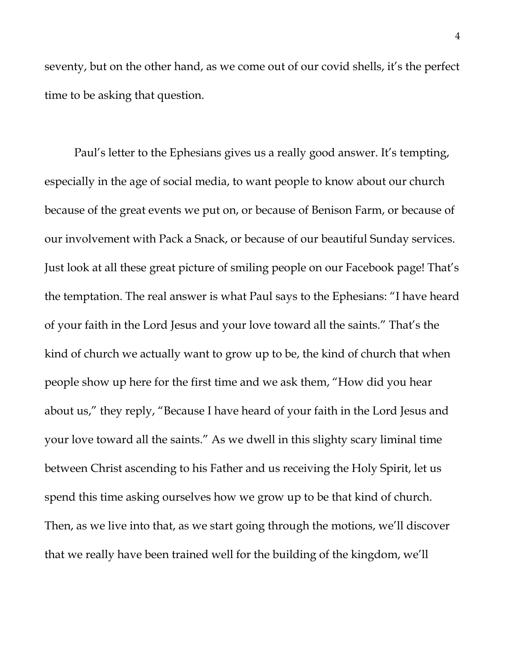seventy, but on the other hand, as we come out of our covid shells, it's the perfect time to be asking that question.

Paul's letter to the Ephesians gives us a really good answer. It's tempting, especially in the age of social media, to want people to know about our church because of the great events we put on, or because of Benison Farm, or because of our involvement with Pack a Snack, or because of our beautiful Sunday services. Just look at all these great picture of smiling people on our Facebook page! That's the temptation. The real answer is what Paul says to the Ephesians: "I have heard of your faith in the Lord Jesus and your love toward all the saints." That's the kind of church we actually want to grow up to be, the kind of church that when people show up here for the first time and we ask them, "How did you hear about us," they reply, "Because I have heard of your faith in the Lord Jesus and your love toward all the saints." As we dwell in this slighty scary liminal time between Christ ascending to his Father and us receiving the Holy Spirit, let us spend this time asking ourselves how we grow up to be that kind of church. Then, as we live into that, as we start going through the motions, we'll discover that we really have been trained well for the building of the kingdom, we'll